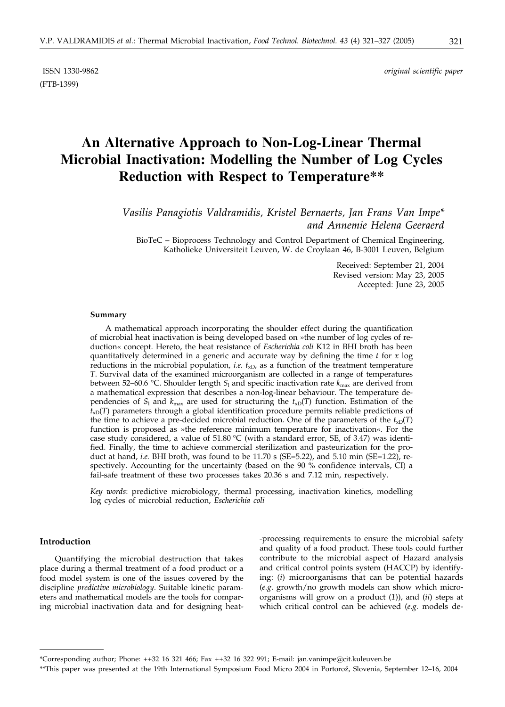(FTB-1399)

ISSN 1330-9862 *original scientific paper*

# **An Alternative Approach to Non-Log-Linear Thermal Microbial Inactivation: Modelling the Number of Log Cycles Reduction with Respect to Temperature\*\***

*Vasilis Panagiotis Valdramidis, Kristel Bernaerts, Jan Frans Van Impe\* and Annemie Helena Geeraerd*

BioTeC – Bioprocess Technology and Control Department of Chemical Engineering, Katholieke Universiteit Leuven, W. de Croylaan 46, B-3001 Leuven, Belgium

> Received: September 21, 2004 Revised version: May 23, 2005 Accepted: June 23, 2005

#### **Summary**

A mathematical approach incorporating the shoulder effect during the quantification of microbial heat inactivation is being developed based on »the number of log cycles of reduction« concept. Hereto, the heat resistance of *Escherichia coli* K12 in BHI broth has been quantitatively determined in a generic and accurate way by defining the time *t* for *x* log reductions in the microbial population, *i.e.*  $t_{xD}$ , as a function of the treatment temperature *T*. Survival data of the examined microorganism are collected in a range of temperatures between 52–60.6 °C. Shoulder length  $S_1$  and specific inactivation rate  $k_{\text{max}}$  are derived from a mathematical expression that describes a non-log-linear behaviour. The temperature dependencies of  $S_1$  and  $k_{\text{max}}$  are used for structuring the  $t_{xD}(T)$  function. Estimation of the  $t_{xD}(T)$  parameters through a global identification procedure permits reliable predictions of the time to achieve a pre-decided microbial reduction. One of the parameters of the  $t_{\text{xD}}(T)$ function is proposed as »the reference minimum temperature for inactivation«. For the case study considered, a value of 51.80 °C (with a standard error, SE, of 3.47) was identified. Finally, the time to achieve commercial sterilization and pasteurization for the product at hand, *i.e.* BHI broth, was found to be 11.70 s (SE=5.22), and 5.10 min (SE=1.22), respectively. Accounting for the uncertainty (based on the 90 % confidence intervals, CI) a fail-safe treatment of these two processes takes 20.36 s and 7.12 min, respectively.

*Key words*: predictive microbiology, thermal processing, inactivation kinetics, modelling log cycles of microbial reduction, *Escherichia coli*

#### **Introduction**

Quantifying the microbial destruction that takes place during a thermal treatment of a food product or a food model system is one of the issues covered by the discipline *predictive microbiology*. Suitable kinetic parameters and mathematical models are the tools for comparing microbial inactivation data and for designing heat-processing requirements to ensure the microbial safety and quality of a food product. These tools could further contribute to the microbial aspect of Hazard analysis and critical control points system (HACCP) by identifying: (*i*) microorganisms that can be potential hazards (*e.g*. growth/no growth models can show which microorganisms will grow on a product (*1*)), and (*ii*) steps at which critical control can be achieved (*e.g.* models de-

<sup>\*</sup>Corresponding author; Phone: ++32 16 321 466; Fax ++32 16 322 991; E-mail: jan.vanimpe@cit.kuleuven.be

<sup>\*\*</sup>This paper was presented at the 19th International Symposium Food Micro 2004 in Portorož, Slovenia, September 12–16, 2004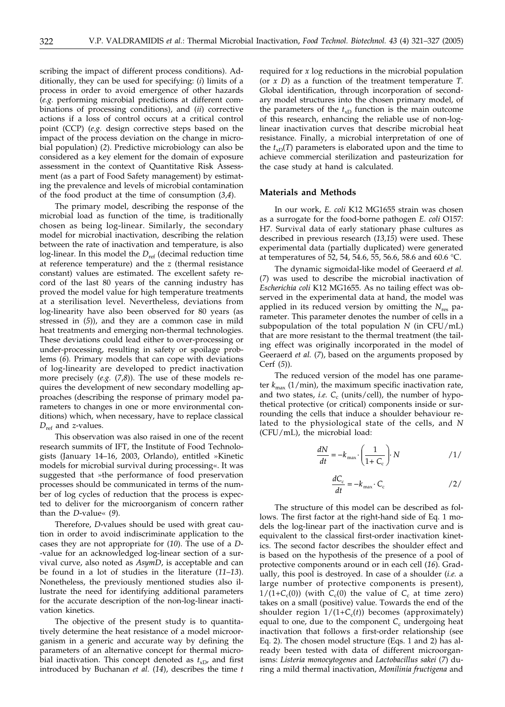scribing the impact of different process conditions). Additionally, they can be used for specifying: (*i*) limits of a process in order to avoid emergence of other hazards (*e.g.* performing microbial predictions at different combinations of processing conditions), and (*ii*) corrective actions if a loss of control occurs at a critical control point (CCP) (*e.g.* design corrective steps based on the impact of the process deviation on the change in microbial population) (*2*). Predictive microbiology can also be considered as a key element for the domain of exposure assessment in the context of Quantitative Risk Assessment (as a part of Food Safety management) by estimating the prevalence and levels of microbial contamination of the food product at the time of consumption (*3*,*4*).

The primary model, describing the response of the microbial load as function of the time, is traditionally chosen as being log-linear. Similarly, the secondary model for microbial inactivation, describing the relation between the rate of inactivation and temperature, is also log-linear. In this model the  $D_{ref}$  (decimal reduction time at reference temperature) and the *z* (thermal resistance constant) values are estimated. The excellent safety record of the last 80 years of the canning industry has proved the model value for high temperature treatments at a sterilisation level. Nevertheless, deviations from log-linearity have also been observed for 80 years (as stressed in (*5*)), and they are a common case in mild heat treatments and emerging non-thermal technologies. These deviations could lead either to over-processing or under-processing, resulting in safety or spoilage problems (*6*). Primary models that can cope with deviations of log-linearity are developed to predict inactivation more precisely (*e.g.* (*7*,*8*)). The use of these models requires the development of new secondary modelling approaches (describing the response of primary model parameters to changes in one or more environmental conditions) which, when necessary, have to replace classical *D*ref and *z*-values.

This observation was also raised in one of the recent research summits of IFT, the Institute of Food Technologists (January 14–16, 2003, Orlando), entitled »Kinetic models for microbial survival during processing«. It was suggested that »the performance of food preservation processes should be communicated in terms of the number of log cycles of reduction that the process is expected to deliver for the microorganism of concern rather than the *D*-value« (*9*).

Therefore, *D*-values should be used with great caution in order to avoid indiscriminate application to the cases they are not appropriate for (*10*). The use of a *D*- -value for an acknowledged log-linear section of a survival curve, also noted as *AsymD*, is acceptable and can be found in a lot of studies in the literature (*11*–*13*). Nonetheless, the previously mentioned studies also illustrate the need for identifying additional parameters for the accurate description of the non-log-linear inactivation kinetics.

The objective of the present study is to quantitatively determine the heat resistance of a model microorganism in a generic and accurate way by defining the parameters of an alternative concept for thermal microbial inactivation. This concept denoted as  $t_{xD}$ , and first introduced by Buchanan *et al.* (*14*), describes the time *t* required for *x* log reductions in the microbial population (or *x D*) as a function of the treatment temperature *T*. Global identification, through incorporation of secondary model structures into the chosen primary model, of the parameters of the  $t_{xD}$  function is the main outcome of this research, enhancing the reliable use of non-loglinear inactivation curves that describe microbial heat resistance. Finally, a microbial interpretation of one of the  $t_{xD}(T)$  parameters is elaborated upon and the time to achieve commercial sterilization and pasteurization for the case study at hand is calculated.

#### **Materials and Methods**

In our work, *E. coli* K12 MG1655 strain was chosen as a surrogate for the food-borne pathogen *E. coli* O157: H7. Survival data of early stationary phase cultures as described in previous research (*13,15*) were used. These experimental data (partially duplicated) were generated at temperatures of 52, 54, 54.6, 55, 56.6, 58.6 and 60.6 °C.

The dynamic sigmoidal-like model of Geeraerd *et al.* (*7*) was used to describe the microbial inactivation of *Escherichia coli* K12 MG1655. As no tailing effect was observed in the experimental data at hand, the model was applied in its reduced version by omitting the *N*res parameter. This parameter denotes the number of cells in a subpopulation of the total population *N* (in CFU/mL) that are more resistant to the thermal treatment (the tailing effect was originally incorporated in the model of Geeraerd *et al.* (*7*), based on the arguments proposed by Cerf (*5*)).

The reduced version of the model has one parameter  $k_{\text{max}}$  (1/min), the maximum specific inactivation rate, and two states, *i.e.*  $C_c$  (units/cell), the number of hypothetical protective (or critical) components inside or surrounding the cells that induce a shoulder behaviour related to the physiological state of the cells, and *N* (CFU/mL), the microbial load:

$$
\frac{dN}{dt} = -k_{\text{max}} \cdot \left(\frac{1}{1 + C_{\text{c}}}\right) \cdot N \tag{1/}
$$

$$
\frac{dC_{\rm c}}{dt} = -k_{\rm max} \cdot C_{\rm c}
$$

The structure of this model can be described as follows. The first factor at the right-hand side of Eq. 1 models the log-linear part of the inactivation curve and is equivalent to the classical first-order inactivation kinetics. The second factor describes the shoulder effect and is based on the hypothesis of the presence of a pool of protective components around or in each cell (*16*). Gradually, this pool is destroyed. In case of a shoulder (*i.e.* a large number of protective components is present),  $1/(1+C_c(0))$  (with  $C_c(0)$  the value of  $C_c$  at time zero) takes on a small (positive) value. Towards the end of the shoulder region  $1/(1+C_c(t))$  becomes (approximately) equal to one, due to the component  $C_c$  undergoing heat inactivation that follows a first-order relationship (see Eq. 2). The chosen model structure (Eqs. 1 and 2) has already been tested with data of different microorganisms: *Listeria monocytogenes* and *Lactobacillus sakei* (*7*) during a mild thermal inactivation, *Monilinia fructigena* and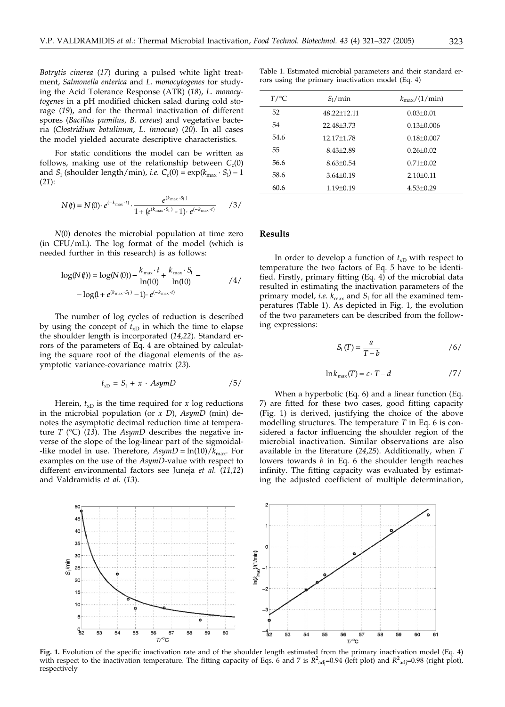*Botrytis cinerea* (*17*) during a pulsed white light treatment, *Salmonella enterica* and *L. monocytogenes* for studying the Acid Tolerance Response (ATR) (*18*), *L. monocytogenes* in a pH modified chicken salad during cold storage (*19*), and for the thermal inactivation of different spores (*Bacillus pumilus, B. cereus*) and vegetative bacteria (*Clostridium botulinum*, *L. innocua*) (*20*). In all cases the model yielded accurate descriptive characteristics.

For static conditions the model can be written as follows, making use of the relationship between  $C_c(0)$ and  $S_1$  (shoulder length/min), *i.e.*  $C_c(0) = \exp(k_{\max} \cdot S_1) - 1$ (*21*):

$$
N(t) = N(0) \cdot e^{(-k_{\max} \cdot t)} \cdot \frac{e^{(k_{\max} \cdot s_1)}}{1 + (e^{(k_{\max} \cdot s_1)} - 1) \cdot e^{(-k_{\max} \cdot t)}} \qquad \text{(3)}
$$

*N*(0) denotes the microbial population at time zero (in CFU/mL). The log format of the model (which is needed further in this research) is as follows:

$$
\log(N(\theta)) = \log(N(0)) - \frac{k_{\max} \cdot t}{\ln(10)} + \frac{k_{\max} \cdot S_1}{\ln(10)} - \log(1 + e^{(k_{\max} \cdot S_1)} - 1) \cdot e^{(-k_{\max} \cdot t)} \tag{4}
$$

The number of log cycles of reduction is described by using the concept of  $t_{xD}$  in which the time to elapse the shoulder length is incorporated (*14,22*). Standard errors of the parameters of Eq. 4 are obtained by calculating the square root of the diagonal elements of the asymptotic variance-covariance matrix (*23*).

$$
t_{\rm xD} = S_1 + x \cdot AsymD \qquad \qquad /5/
$$

Herein,  $t_{xD}$  is the time required for *x* log reductions in the microbial population (or *x D*), *AsymD* (min) denotes the asymptotic decimal reduction time at temperature *T* (°C) (*13*). The *AsymD* describes the negative inverse of the slope of the log-linear part of the sigmoidal- -like model in use. Therefore,  $AsymD = \ln(10)/k_{\text{max}}$ . For examples on the use of the *AsymD*-value with respect to different environmental factors see Juneja *et al.* (*11*,*12*) and Valdramidis *et al.* (*13*).

Table 1. Estimated microbial parameters and their standard errors using the primary inactivation model (Eq. 4)

| $T/\mathrm{C}C$ | $S_1/m$ in      | $k_{\rm max}/(1/\rm min)$ |
|-----------------|-----------------|---------------------------|
| 52              | $48.22 + 12.11$ | $0.03 + 0.01$             |
| 54              | 22.48+3.73      | $0.13 + 0.006$            |
| 54.6            | 12.17+1.78      | $0.18 + 0.007$            |
| 55              | $8.43 + 2.89$   | $0.26 + 0.02$             |
| 56.6            | $8.63 + 0.54$   | $0.71 + 0.02$             |
| 58.6            | $3.64 + 0.19$   | $2.10+0.11$               |
| 60.6            | $1.19 \pm 0.19$ | $4.53 + 0.29$             |

# **Results**

In order to develop a function of  $t_{\rm xD}$  with respect to temperature the two factors of Eq. 5 have to be identified. Firstly, primary fitting (Eq. 4) of the microbial data resulted in estimating the inactivation parameters of the primary model, *i.e.*  $k_{\text{max}}$  and  $S_1$  for all the examined temperatures (Table 1). As depicted in Fig. 1, the evolution of the two parameters can be described from the following expressions:

$$
S_1(T) = \frac{a}{T - b} \tag{6}
$$

$$
\ln k_{\max}(T) = c \cdot T - d \qquad \qquad \text{/7/}
$$

When a hyperbolic (Eq. 6) and a linear function (Eq. 7) are fitted for these two cases, good fitting capacity (Fig. 1) is derived, justifying the choice of the above modelling structures. The temperature *T* in Eq. 6 is considered a factor influencing the shoulder region of the microbial inactivation. Similar observations are also available in the literature (*24*,*25*). Additionally, when *T* lowers towards *b* in Eq. 6 the shoulder length reaches infinity. The fitting capacity was evaluated by estimating the adjusted coefficient of multiple determination,



**Fig. 1.** Evolution of the specific inactivation rate and of the shoulder length estimated from the primary inactivation model (Eq. 4) with respect to the inactivation temperature. The fitting capacity of Eqs. 6 and 7 is  $R^2_{\text{adj}}$ =0.94 (left plot) and  $R^2_{\text{adj}}$ =0.98 (right plot), respectively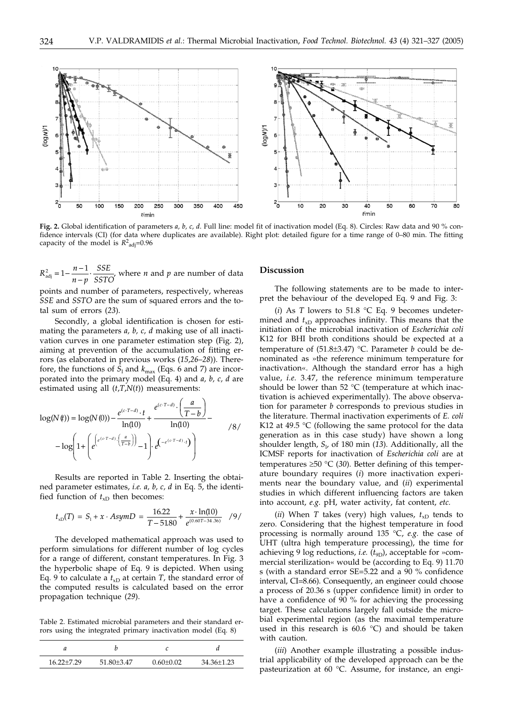

**Fig. 2.** Global identification of parameters *a, b, c, d*. Full line: model fit of inactivation model (Eq. 8). Circles: Raw data and 90 % confidence intervals (CI) (for data where duplicates are available). Right plot: detailed figure for a time range of 0–80 min. The fitting capacity of the model is  $R^2$ <sub>adj</sub>=0.96

 $R_{\text{adj}}^2 = 1 - \frac{n-1}{n-p}$ *SSE*  $S_{\text{adj}}^2 = 1 - \frac{n-1}{n-p} \cdot \frac{SSE}{SSTO'}$  where *n* and *p* are number of data

points and number of parameters, respectively, whereas *SSE* and *SSTO* are the sum of squared errors and the total sum of errors (*23*).

Secondly, a global identification is chosen for estimating the parameters *a, b, c, d* making use of all inactivation curves in one parameter estimation step (Fig. 2), aiming at prevention of the accumulation of fitting errors (as elaborated in previous works (*15*,*26*–*28*)). Therefore, the functions of  $S_1$  and  $k_{\text{max}}$  (Eqs. 6 and 7) are incorporated into the primary model (Eq. 4) and *a, b, c, d* are estimated using all (*t*,*T*,*N*(*t*)) measurements:

$$
\log(N(\theta)) = \log(N(0)) - \frac{e^{(c \cdot T - d)} \cdot t}{\ln(10)} + \frac{e^{(c \cdot T - d)} \cdot \left(\frac{a}{T - b}\right)}{\ln(10)} - \log\left(1 + \left(e^{\left(e^{(c \cdot T - d)} \cdot \left(\frac{a}{T - b}\right)\right)} - 1\right) \cdot e^{\left(-e^{(c \cdot T - d)} \cdot t\right)}\right)
$$

Results are reported in Table 2. Inserting the obtained parameter estimates, *i.e. a, b, c, d* in Eq. 5, the identified function of  $t_{xD}$  then becomes:

$$
t_{\rm xD}(T) = S_1 + x \cdot AsymD = \frac{16.22}{T - 51.80} + \frac{x \cdot \ln(10)}{e^{(0.60T - 34.36)}} \quad /9/
$$

The developed mathematical approach was used to perform simulations for different number of log cycles for a range of different, constant temperatures. In Fig. 3 the hyperbolic shape of Eq. 9 is depicted. When using Eq. 9 to calculate a  $t_{xD}$  at certain *T*, the standard error of the computed results is calculated based on the error propagation technique (*29*).

Table 2. Estimated microbial parameters and their standard errors using the integrated primary inactivation model (Eq. 8)

| $16.22 + 7.29$ | 51.80+3.47 | $0.60 \pm 0.02$ | 34.36±1.23 |
|----------------|------------|-----------------|------------|

# **Discussion**

The following statements are to be made to interpret the behaviour of the developed Eq. 9 and Fig. 3:

(*i*) As *T* lowers to 51.8 °C Eq. 9 becomes undetermined and  $t_{\rm xD}$  approaches infinity. This means that the initiation of the microbial inactivation of *Escherichia coli* K12 for BHI broth conditions should be expected at a temperature of (51.8±3.47) °C. Parameter *b* could be denominated as »the reference minimum temperature for inactivation«. Although the standard error has a high value, *i.e.* 3.47, the reference minimum temperature should be lower than 52 °C (temperature at which inactivation is achieved experimentally). The above observation for parameter *b* corresponds to previous studies in the literature. Thermal inactivation experiments of *E. coli* K12 at 49.5  $\degree$ C (following the same protocol for the data generation as in this case study) have shown a long shoulder length, *S*<sup>l</sup> , of 180 min (*13*). Additionally, all the ICMSF reports for inactivation of *Escherichia coli* are at temperatures  $\geq 50$  °C (30). Better defining of this temperature boundary requires (*i*) more inactivation experiments near the boundary value, and (*ii*) experimental studies in which different influencing factors are taken into account, *e.g.* pH, water activity, fat content, *etc.*

(*ii*) When *T* takes (very) high values,  $t_{xD}$  tends to zero. Considering that the highest temperature in food processing is normally around 135 °C, *e.g.* the case of UHT (ultra high temperature processing), the time for achieving 9 log reductions, *i.e.* ( $t_{9D}$ ), acceptable for »commercial sterilization« would be (according to Eq. 9) 11.70 s (with a standard error SE=5.22 and a 90 % confidence interval, CI=8.66). Consequently, an engineer could choose a process of 20.36 s (upper confidence limit) in order to have a confidence of 90 % for achieving the processing target. These calculations largely fall outside the microbial experimental region (as the maximal temperature used in this research is 60.6 °C) and should be taken with caution.

(*iii*) Another example illustrating a possible industrial applicability of the developed approach can be the pasteurization at 60 °C. Assume, for instance, an engi-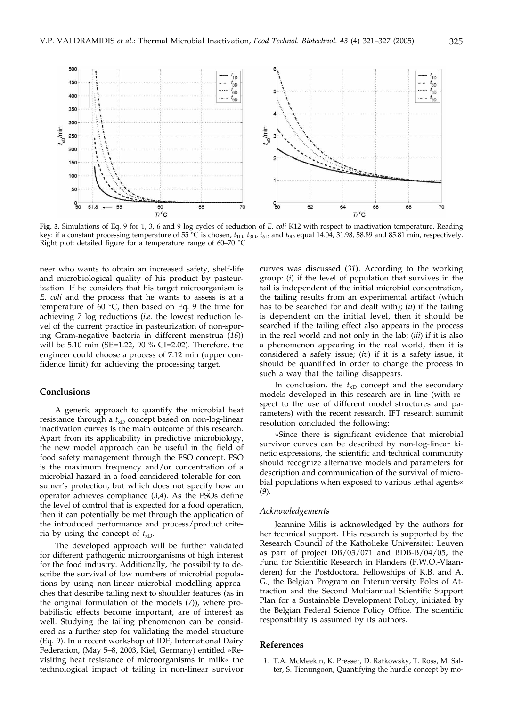

**Fig. 3.** Simulations of Eq. 9 for 1, 3, 6 and 9 log cycles of reduction of *E. coli* K12 with respect to inactivation temperature. Reading key: if a constant processing temperature of 55 °C is chosen, *t*1D, *t*3D, *t*6D and *t*9D equal 14.04, 31.98, 58.89 and 85.81 min, respectively. Right plot: detailed figure for a temperature range of 60–70 °C

neer who wants to obtain an increased safety, shelf-life and microbiological quality of his product by pasteurization. If he considers that his target microorganism is *E. coli* and the process that he wants to assess is at a temperature of 60 °C, then based on Eq. 9 the time for achieving 7 log reductions (*i.e.* the lowest reduction level of the current practice in pasteurization of non-sporing Gram-negative bacteria in different menstrua (*16*)) will be 5.10 min (SE=1.22, 90 % CI=2.02). Therefore, the engineer could choose a process of 7.12 min (upper confidence limit) for achieving the processing target.

## **Conclusions**

A generic approach to quantify the microbial heat resistance through a  $t_{xD}$  concept based on non-log-linear inactivation curves is the main outcome of this research. Apart from its applicability in predictive microbiology, the new model approach can be useful in the field of food safety management through the FSO concept. FSO is the maximum frequency and/or concentration of a microbial hazard in a food considered tolerable for consumer's protection, but which does not specify how an operator achieves compliance (*3*,*4*). As the FSOs define the level of control that is expected for a food operation, then it can potentially be met through the application of the introduced performance and process/product criteria by using the concept of  $t_{xD}$ .

The developed approach will be further validated for different pathogenic microorganisms of high interest for the food industry. Additionally, the possibility to describe the survival of low numbers of microbial populations by using non-linear microbial modelling approaches that describe tailing next to shoulder features (as in the original formulation of the models (*7*)), where probabilistic effects become important, are of interest as well. Studying the tailing phenomenon can be considered as a further step for validating the model structure (Eq. 9). In a recent workshop of IDF, International Dairy Federation, (May 5–8, 2003, Kiel, Germany) entitled »Revisiting heat resistance of microorganisms in milk« the technological impact of tailing in non-linear survivor

curves was discussed (*31*). According to the working group: (*i*) if the level of population that survives in the tail is independent of the initial microbial concentration, the tailing results from an experimental artifact (which has to be searched for and dealt with); (*ii*) if the tailing is dependent on the initial level, then it should be searched if the tailing effect also appears in the process in the real world and not only in the lab; (*iii*) if it is also a phenomenon appearing in the real world, then it is considered a safety issue; (*iv*) if it is a safety issue, it should be quantified in order to change the process in such a way that the tailing disappears.

In conclusion, the  $t_{xD}$  concept and the secondary models developed in this research are in line (with respect to the use of different model structures and parameters) with the recent research. IFT research summit resolution concluded the following:

»Since there is significant evidence that microbial survivor curves can be described by non-log-linear kinetic expressions, the scientific and technical community should recognize alternative models and parameters for description and communication of the survival of microbial populations when exposed to various lethal agents« (*9*).

### *Acknowledgements*

Jeannine Milis is acknowledged by the authors for her technical support. This research is supported by the Research Council of the Katholieke Universiteit Leuven as part of project DB/03/071 and BDB-B/04/05, the Fund for Scientific Research in Flanders (F.W.O.-Vlaanderen) for the Postdoctoral Fellowships of K.B. and A. G., the Belgian Program on Interuniversity Poles of Attraction and the Second Multiannual Scientific Support Plan for a Sustainable Development Policy, initiated by the Belgian Federal Science Policy Office. The scientific responsibility is assumed by its authors.

# **References**

*1.* T.A. McMeekin, K. Presser, D. Ratkowsky, T. Ross, M. Salter, S. Tienungoon, Quantifying the hurdle concept by mo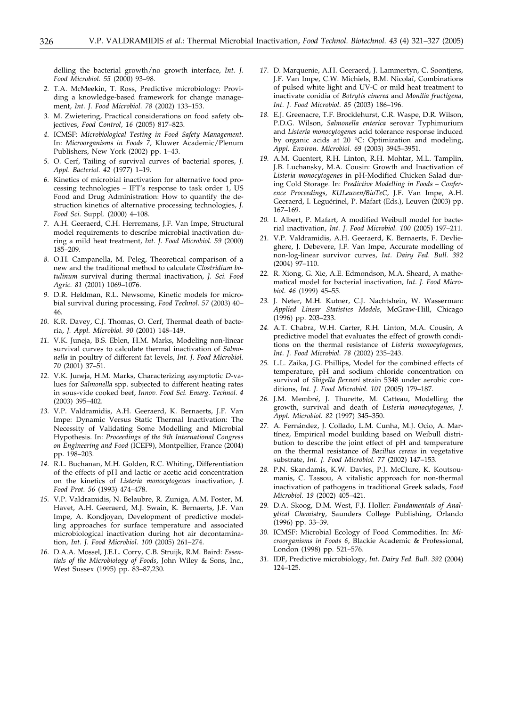delling the bacterial growth/no growth interface, *Int. J. Food Microbiol. 55* (2000) 93–98.

- *2.* T.A. McMeekin, T. Ross, Predictive microbiology: Providing a knowledge-based framework for change management, *Int. J. Food Microbiol. 78* (2002) 133–153.
- *3.* M. Zwietering, Practical considerations on food safety objectives, *Food Control, 16* (2005) 817–823.
- *4.* ICMSF: *Microbiological Testing in Food Safety Management*. In: *Microorganisms in Foods 7,* Kluwer Academic/Plenum Publishers, New York (2002) pp. 1–43.
- *5.* O. Cerf, Tailing of survival curves of bacterial spores, *J. Appl. Bacteriol. 42* (1977) 1–19.
- *6.* Kinetics of microbial inactivation for alternative food processing technologies – IFT's response to task order 1, US Food and Drug Administration: How to quantify the destruction kinetics of alternative processing technologies, *J. Food Sci.* Suppl*.* (2000) 4–108.
- *7.* A.H. Geeraerd, C.H. Herremans, J.F. Van Impe, Structural model requirements to describe microbial inactivation during a mild heat treatment, *Int. J. Food Microbiol. 59* (2000) 185–209.
- *8.* O.H. Campanella, M. Peleg, Theoretical comparison of a new and the traditional method to calculate *Clostridium botulinum* survival during thermal inactivation, *J. Sci. Food Agric. 81* (2001) 1069–1076.
- *9.* D.R. Heldman, R.L. Newsome, Kinetic models for microbial survival during processing, *Food Technol. 57* (2003) 40– 46.
- *10.* K.R. Davey, C.J. Thomas, O. Cerf, Thermal death of bacteria, *J. Appl. Microbiol. 90* (2001) 148–149.
- *11.* V.K. Juneja, B.S. Eblen, H.M. Marks, Modeling non-linear survival curves to calculate thermal inactivation of *Salmonella* in poultry of different fat levels, *Int. J. Food Microbiol. 70* (2001) 37–51.
- *12.* V.K. Juneja, H.M. Marks, Characterizing asymptotic *D*-values for *Salmonella* spp. subjected to different heating rates in sous-vide cooked beef, *Innov. Food Sci. Emerg. Technol. 4* (2003) 395–402.
- *13.* V.P. Valdramidis, A.H. Geeraerd, K. Bernaerts, J.F. Van Impe: Dynamic Versus Static Thermal Inactivation: The Necessity of Validating Some Modelling and Microbial Hypothesis. In: *Proceedings of the 9th International Congress on Engineering and Food* (ICEF9), Montpellier, France (2004) pp. 198–203.
- *14.* R.L. Buchanan, M.H. Golden, R.C. Whiting, Differentiation of the effects of pH and lactic or acetic acid concentration on the kinetics of *Listeria monocytogenes* inactivation, *J. Food Prot. 56* (1993) 474–478.
- *15.* V.P. Valdramidis, N. Belaubre, R. Zuniga, A.M. Foster, M. Havet, A.H. Geeraerd, M.J. Swain, K. Bernaerts, J.F. Van Impe, A. Kondjoyan, Development of predictive modelling approaches for surface temperature and associated microbiological inactivation during hot air decontamination, *Int. J. Food Microbiol. 100* (2005) 261–274.
- *16.* D.A.A. Mossel, J.E.L. Corry, C.B. Struijk, R.M. Baird: *Essentials of the Microbiology of Foods*, John Wiley & Sons, Inc., West Sussex (1995) pp. 83–87,230.
- *17.* D. Marquenie, A.H. Geeraerd, J. Lammertyn, C. Soontjens, J.F. Van Impe, C.W. Michiels, B.M. Nicolaï, Combinations of pulsed white light and UV-C or mild heat treatment to inactivate conidia of *Botrytis cinerea* and *Monilia fructigena*, *Int. J. Food Microbiol*. *85* (2003) 186–196.
- *18.* E.J. Greenacre, T.F. Brocklehurst, C.R. Waspe, D.R. Wilson, P.D.G. Wilson, *Salmonella enterica* serovar Typhimurium and *Listeria monocytogenes* acid tolerance response induced by organic acids at 20 °C: Optimization and modeling, *Appl. Environ. Microbiol. 69* (2003) 3945–3951.
- *19.* A.M. Guentert, R.H. Linton, R.H. Mohtar, M.L. Tamplin, J.B. Luchansky, M.A. Cousin: Growth and Inactivation of *Listeria monocytogenes* in pH-Modified Chicken Salad during Cold Storage. In: *Predictive Modelling in Foods – Conference Proceedings, KULeuven/BioTeC,* J.F. Van Impe, A.H. Geeraerd, I. Leguérinel, P. Mafart (Eds.), Leuven (2003) pp. 167–169.
- *20.* I. Albert, P. Mafart, A modified Weibull model for bacterial inactivation, *Int. J. Food Microbiol. 100* (2005) 197–211.
- *21.* V.P. Valdramidis, A.H. Geeraerd, K. Bernaerts, F. Devlieghere, J. Debevere, J.F. Van Impe, Accurate modelling of non-log-linear survivor curves, *Int. Dairy Fed. Bull. 392* (2004) 97–110.
- *22.* R. Xiong, G. Xie, A.E. Edmondson, M.A. Sheard, A mathematical model for bacterial inactivation, *Int. J. Food Microbiol. 46* (1999) 45–55.
- *23.* J. Neter, M.H. Kutner, C.J. Nachtshein, W. Wasserman: *Applied Linear Statistics Models*, McGraw-Hill, Chicago (1996) pp. 203–233.
- *24.* A.T. Chabra, W.H. Carter, R.H. Linton, M.A. Cousin, A predictive model that evaluates the effect of growth conditions on the thermal resistance of *Listeria monocytogenes*, *Int. J. Food Microbiol. 78* (2002) 235–243.
- *25.* L.L. Zaika, J.G. Phillips, Model for the combined effects of temperature, pH and sodium chloride concentration on survival of *Shigella flexneri* strain 5348 under aerobic conditions, *Int. J. Food Microbiol. 101* (2005) 179–187.
- *26.* J.M. Membré, J. Thurette, M. Catteau, Modelling the growth, survival and death of *Listeria monocytogenes, J. Appl. Microbiol. 82* (1997) 345–350.
- *27.* A. Fernández, J. Collado, L.M. Cunha, M.J. Ocio, A. Martínez, Empirical model building based on Weibull distribution to describe the joint effect of pH and temperature on the thermal resistance of *Bacillus cereus* in vegetative substrate, *Int. J. Food Microbiol. 77* (2002) 147–153.
- *28.* P.N. Skandamis, K.W. Davies, P.J. McClure, K. Koutsoumanis, C. Tassou, A vitalistic approach for non-thermal inactivation of pathogens in traditional Greek salads, *Food Microbiol. 19* (2002) 405–421.
- *29.* D.A. Skoog, D.M. West, F.J. Holler: *Fundamentals of Analytical Chemistry*, Saunders College Publishing, Orlando (1996) pp. 33–39.
- *30.* ICMSF: Microbial Ecology of Food Commodities. In: *Microorganisms in Foods 6*, Blackie Academic & Professional, London (1998) pp. 521–576.
- *31.* IDF, Predictive microbiology, *Int. Dairy Fed. Bull. 392* (2004) 124–125.